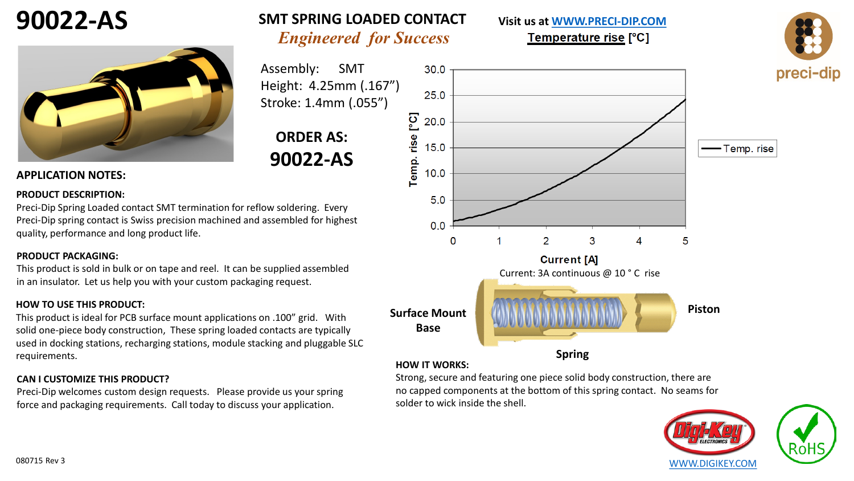



#### **APPLICATION NOTES:**

#### **PRODUCT DESCRIPTION:**

Preci-Dip Spring Loaded contact SMT termination for reflow soldering. Every Preci-Dip spring contact is Swiss precision machined and assembled for highest quality, performance and long product life.

#### **PRODUCT PACKAGING:**

This product is sold in bulk or on tape and reel. It can be supplied assembled in an insulator. Let us help you with your custom packaging request.

#### **HOW TO USE THIS PRODUCT:**

This product is ideal for PCB surface mount applications on .100" grid. With solid one-piece body construction, These spring loaded contacts are typically used in docking stations, recharging stations, module stacking and pluggable SLC requirements.

#### **CAN I CUSTOMIZE THIS PRODUCT?**

Preci-Dip welcomes custom design requests. Please provide us your spring force and packaging requirements. Call today to discuss your application.



*Engineered for Success*

 $30.0$ 

**SMT SPRING LOADED CONTACT**

Assembly: SMT



Temperature rise [°C]



5 **Piston Surface Mount Base Spring HOW IT WORKS:**

Strong, secure and featuring one piece solid body construction, there are no capped components at the bottom of this spring contact. No seams for solder to wick inside the shell.



-Temp.rise